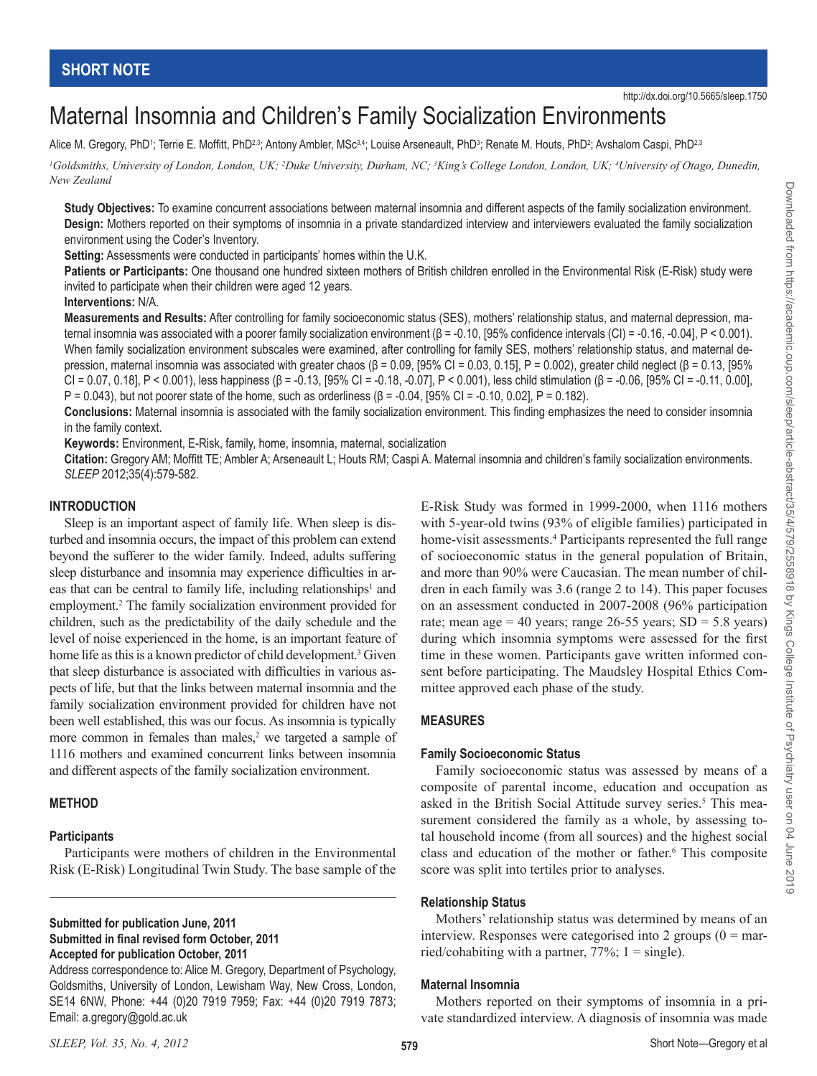# Maternal Insomnia and Children's Family Socialization Environments

Alice M. Gregory, PhD<sup>1</sup>; Terrie E. Moffitt, PhD<sup>2,3</sup>; Antony Ambler, MSc<sup>3,4</sup>; Louise Arseneault, PhD<sup>3</sup>; Renate M. Houts, PhD<sup>2</sup>; Avshalom Caspi, PhD<sup>2,3</sup>

*1 Goldsmiths, University of London, London, UK; 2 Duke University, Durham, NC; 3 King's College London, London, UK; 4 University of Otago, Dunedin, New Zealand*

**Study Objectives:** To examine concurrent associations between maternal insomnia and different aspects of the family socialization environment. **Design:** Mothers reported on their symptoms of insomnia in a private standardized interview and interviewers evaluated the family socialization environment using the Coder's Inventory.

**Setting:** Assessments were conducted in participants' homes within the U.K.

**Patients or Participants:** One thousand one hundred sixteen mothers of British children enrolled in the Environmental Risk (E-Risk) study were invited to participate when their children were aged 12 years.

**Interventions:** N/A.

**Measurements and Results:** After controlling for family socioeconomic status (SES), mothers' relationship status, and maternal depression, maternal insomnia was associated with a poorer family socialization environment (β = -0.10, [95% confidence intervals (CI) = -0.16, -0.04], p < 0.001). When family socialization environment subscales were examined, after controlling for family SES, mothers' relationship status, and maternal depression, maternal insomnia was associated with greater chaos (β = 0.09, [95% CI = 0.03, 0.15], P = 0.002), greater child neglect (β = 0.13, [95% CI = 0.07, 0.18], p < 0.001), less happiness (β = -0.13, [95% CI = -0.18, -0.07], p < 0.001), less child stimulation (β = -0.06, [95% CI = -0.11, 0.00],  $P = 0.043$ ), but not poorer state of the home, such as orderliness ( $\beta = -0.04$ , [95% CI = -0.10, 0.02], P = 0.182).

**Conclusions:** Maternal insomnia is associated with the family socialization environment. This finding emphasizes the need to consider insomnia in the family context.

**Keywords:** Environment, E-Risk, family, home, insomnia, maternal, socialization

**Citation:** Gregory AM; Moffitt TE; Ambler A; Arseneault L; Houts RM; Caspi A. Maternal insomnia and children's family socialization environments. *SLEEP* 2012;35(4):579-582.

# **INTRODUCTION**

Sleep is an important aspect of family life. When sleep is disturbed and insomnia occurs, the impact of this problem can extend beyond the sufferer to the wider family. Indeed, adults suffering sleep disturbance and insomnia may experience difficulties in areas that can be central to family life, including relationships<sup>1</sup> and employment.<sup>2</sup> The family socialization environment provided for children, such as the predictability of the daily schedule and the level of noise experienced in the home, is an important feature of home life as this is a known predictor of child development.<sup>3</sup> Given that sleep disturbance is associated with difficulties in various aspects of life, but that the links between maternal insomnia and the family socialization environment provided for children have not been well established, this was our focus. As insomnia is typically more common in females than males, $2$  we targeted a sample of 1116 mothers and examined concurrent links between insomnia and different aspects of the family socialization environment.

## **METHOD**

#### **Participants**

Participants were mothers of children in the Environmental Risk (E-Risk) Longitudinal Twin Study. The base sample of the

## **Submitted for publication June, 2011 Submitted in final revised form October, 2011 Accepted for publication October, 2011**

Address correspondence to: Alice M. Gregory, Department of Psychology, Goldsmiths, University of London, Lewisham Way, New Cross, London, SE14 6NW, Phone: +44 (0)20 7919 7959; Fax: +44 (0)20 7919 7873; Email: a.gregory@gold.ac.uk

E-Risk Study was formed in 1999-2000, when 1116 mothers with 5-year-old twins (93% of eligible families) participated in home-visit assessments.<sup>4</sup> Participants represented the full range of socioeconomic status in the general population of Britain, and more than 90% were Caucasian. The mean number of children in each family was 3.6 (range 2 to 14). This paper focuses on an assessment conducted in 2007-2008 (96% participation rate; mean age  $= 40$  years; range 26-55 years; SD  $= 5.8$  years) during which insomnia symptoms were assessed for the first time in these women. Participants gave written informed consent before participating. The Maudsley Hospital Ethics Committee approved each phase of the study.

## **MEASURES**

#### **Family Socioeconomic Status**

Family socioeconomic status was assessed by means of a composite of parental income, education and occupation as asked in the British Social Attitude survey series.<sup>5</sup> This measurement considered the family as a whole, by assessing total household income (from all sources) and the highest social class and education of the mother or father.<sup>6</sup> This composite score was split into tertiles prior to analyses.

## **Relationship Status**

Mothers' relationship status was determined by means of an interview. Responses were categorised into 2 groups  $(0 = \text{mar}$ ried/cohabiting with a partner,  $77\%$ ;  $1 = \text{single}$ ).

## **Maternal Insomnia**

Mothers reported on their symptoms of insomnia in a private standardized interview. A diagnosis of insomnia was made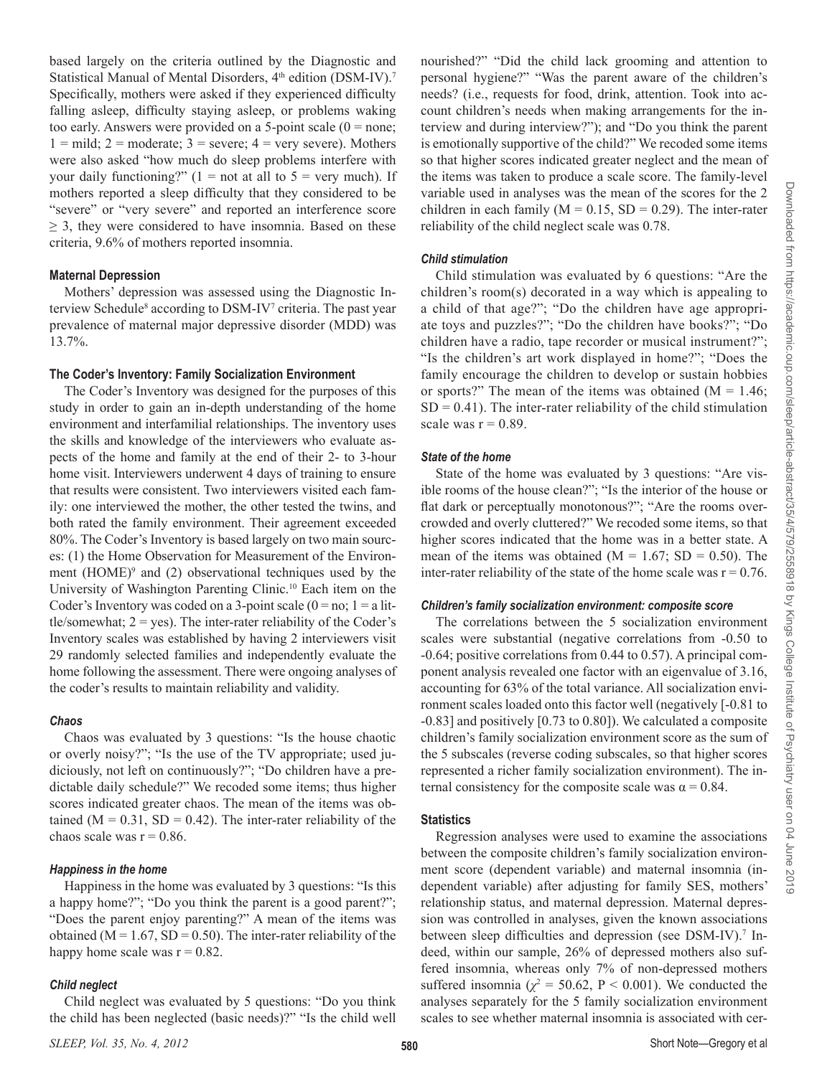based largely on the criteria outlined by the Diagnostic and Statistical Manual of Mental Disorders, 4<sup>th</sup> edition (DSM-IV).<sup>7</sup> Specifically, mothers were asked if they experienced difficulty falling asleep, difficulty staying asleep, or problems waking too early. Answers were provided on a 5-point scale  $(0 = none;$  $1 = \text{mild}$ ;  $2 = \text{moderate}$ ;  $3 = \text{severe}$ ;  $4 = \text{very severe}$ ). Mothers were also asked "how much do sleep problems interfere with your daily functioning?"  $(1 = not at all to 5 = very much)$ . If mothers reported a sleep difficulty that they considered to be "severe" or "very severe" and reported an interference score  $\geq$  3, they were considered to have insomnia. Based on these criteria, 9.6% of mothers reported insomnia.

#### **Maternal Depression**

Mothers' depression was assessed using the Diagnostic Interview Schedule<sup>8</sup> according to DSM-IV<sup>7</sup> criteria. The past year prevalence of maternal major depressive disorder (MDD) was 13.7%.

#### **The Coder's Inventory: Family Socialization Environment**

The Coder's Inventory was designed for the purposes of this study in order to gain an in-depth understanding of the home environment and interfamilial relationships. The inventory uses the skills and knowledge of the interviewers who evaluate aspects of the home and family at the end of their 2- to 3-hour home visit. Interviewers underwent 4 days of training to ensure that results were consistent. Two interviewers visited each family: one interviewed the mother, the other tested the twins, and both rated the family environment. Their agreement exceeded 80%. The Coder's Inventory is based largely on two main sources: (1) the Home Observation for Measurement of the Environment  $(HOME)^9$  and  $(2)$  observational techniques used by the University of Washington Parenting Clinic.10 Each item on the Coder's Inventory was coded on a 3-point scale  $(0 = no; 1 = a$  little/somewhat;  $2 = yes$ ). The inter-rater reliability of the Coder's Inventory scales was established by having 2 interviewers visit 29 randomly selected families and independently evaluate the home following the assessment. There were ongoing analyses of the coder's results to maintain reliability and validity.

#### *Chaos*

Chaos was evaluated by 3 questions: "Is the house chaotic or overly noisy?"; "Is the use of the TV appropriate; used judiciously, not left on continuously?"; "Do children have a predictable daily schedule?" We recoded some items; thus higher scores indicated greater chaos. The mean of the items was obtained ( $M = 0.31$ ,  $SD = 0.42$ ). The inter-rater reliability of the chaos scale was  $r = 0.86$ .

## *Happiness in the home*

Happiness in the home was evaluated by 3 questions: "Is this a happy home?"; "Do you think the parent is a good parent?"; "Does the parent enjoy parenting?" A mean of the items was obtained ( $M = 1.67$ ,  $SD = 0.50$ ). The inter-rater reliability of the happy home scale was  $r = 0.82$ .

## *Child neglect*

Child neglect was evaluated by 5 questions: "Do you think the child has been neglected (basic needs)?" "Is the child well

nourished?" "Did the child lack grooming and attention to personal hygiene?" "Was the parent aware of the children's needs? (i.e., requests for food, drink, attention. Took into account children's needs when making arrangements for the interview and during interview?"); and "Do you think the parent is emotionally supportive of the child?" We recoded some items so that higher scores indicated greater neglect and the mean of the items was taken to produce a scale score. The family-level variable used in analyses was the mean of the scores for the 2 children in each family ( $M = 0.15$ , SD = 0.29). The inter-rater reliability of the child neglect scale was 0.78.

#### *Child stimulation*

Child stimulation was evaluated by 6 questions: "Are the children's room(s) decorated in a way which is appealing to a child of that age?"; "Do the children have age appropriate toys and puzzles?"; "Do the children have books?"; "Do children have a radio, tape recorder or musical instrument?"; "Is the children's art work displayed in home?"; "Does the family encourage the children to develop or sustain hobbies or sports?" The mean of the items was obtained  $(M = 1.46)$ ;  $SD = 0.41$ ). The inter-rater reliability of the child stimulation scale was  $r = 0.89$ .

#### *State of the home*

State of the home was evaluated by 3 questions: "Are visible rooms of the house clean?"; "Is the interior of the house or flat dark or perceptually monotonous?"; "Are the rooms overcrowded and overly cluttered?" We recoded some items, so that higher scores indicated that the home was in a better state. A mean of the items was obtained ( $M = 1.67$ ; SD = 0.50). The inter-rater reliability of the state of the home scale was  $r = 0.76$ .

#### *Children's family socialization environment: composite score*

The correlations between the 5 socialization environment scales were substantial (negative correlations from -0.50 to -0.64; positive correlations from 0.44 to 0.57). A principal component analysis revealed one factor with an eigenvalue of 3.16, accounting for 63% of the total variance. All socialization environment scales loaded onto this factor well (negatively [-0.81 to -0.83] and positively [0.73 to 0.80]). We calculated a composite children's family socialization environment score as the sum of the 5 subscales (reverse coding subscales, so that higher scores represented a richer family socialization environment). The internal consistency for the composite scale was  $\alpha = 0.84$ .

#### **Statistics**

Regression analyses were used to examine the associations between the composite children's family socialization environment score (dependent variable) and maternal insomnia (independent variable) after adjusting for family SES, mothers' relationship status, and maternal depression. Maternal depression was controlled in analyses, given the known associations between sleep difficulties and depression (see DSM-IV).<sup>7</sup> Indeed, within our sample, 26% of depressed mothers also suffered insomnia, whereas only 7% of non-depressed mothers suffered insomnia ( $\chi^2$  = 50.62, P < 0.001). We conducted the analyses separately for the 5 family socialization environment scales to see whether maternal insomnia is associated with cer-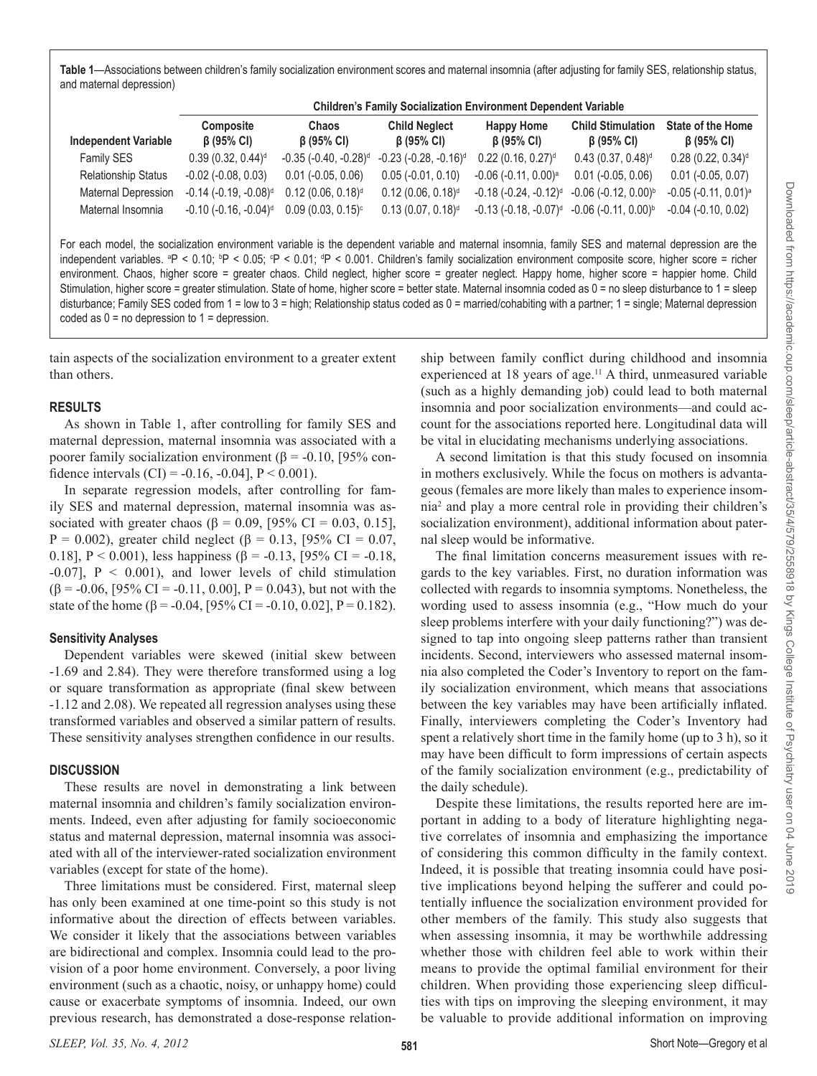**Table 1**—Associations between children's family socialization environment scores and maternal insomnia (after adjusting for family SES, relationship status, and maternal depression)

| <b>Independent Variable</b>                                                                                                                                                                                                                                                                                                                                                                                                                                                                                | <b>Children's Family Socialization Environment Dependent Variable</b> |                                       |                                            |                                       |                                              |                                              |
|------------------------------------------------------------------------------------------------------------------------------------------------------------------------------------------------------------------------------------------------------------------------------------------------------------------------------------------------------------------------------------------------------------------------------------------------------------------------------------------------------------|-----------------------------------------------------------------------|---------------------------------------|--------------------------------------------|---------------------------------------|----------------------------------------------|----------------------------------------------|
|                                                                                                                                                                                                                                                                                                                                                                                                                                                                                                            | Composite<br>$\beta$ (95% CI)                                         | Chaos<br>$\beta$ (95% CI)             | <b>Child Neglect</b><br>$\beta$ (95% CI)   | <b>Happy Home</b><br>β (95% CI)       | <b>Child Stimulation</b><br>$\beta$ (95% CI) | <b>State of the Home</b><br>$\beta$ (95% CI) |
| Family SES                                                                                                                                                                                                                                                                                                                                                                                                                                                                                                 | $0.39(0.32, 0.44)$ <sup>d</sup>                                       | $-0.35$ $(-0.40, -0.28)$ <sup>d</sup> | $-0.23$ ( $-0.28$ , $-0.16$ ) <sup>d</sup> | $0.22$ (0.16, 0.27) <sup>d</sup>      | $0.43(0.37, 0.48)^d$                         | $0.28(0.22, 0.34)$ <sup>d</sup>              |
| Relationship Status                                                                                                                                                                                                                                                                                                                                                                                                                                                                                        | $-0.02$ $(-0.08, 0.03)$                                               | $0.01$ ( $-0.05, 0.06$ )              | $0.05$ (-0.01, 0.10)                       | $-0.06$ $(-0.11, 0.00)^a$             | $0.01$ ( $-0.05, 0.06$ )                     | $0.01$ (-0.05, 0.07)                         |
| <b>Maternal Depression</b>                                                                                                                                                                                                                                                                                                                                                                                                                                                                                 | $-0.14$ $(-0.19, -0.08)$ <sup>d</sup>                                 | $0.12(0.06, 0.18)^d$                  | $0.12(0.06, 0.18)^d$                       | $-0.18$ $(-0.24, -0.12)^d$            | $-0.06$ $(-0.12, 0.00)^{b}$                  | $-0.05$ $(-0.11, 0.01)^a$                    |
| Maternal Insomnia                                                                                                                                                                                                                                                                                                                                                                                                                                                                                          | $-0.10$ $(-0.16, -0.04)$ <sup>d</sup>                                 | $0.09(0.03, 0.15)^c$                  | $0.13(0.07, 0.18)^d$                       | $-0.13$ $(-0.18, -0.07)$ <sup>d</sup> | $-0.06$ ( $-0.11$ , $0.00$ ) <sup>b</sup>    | $-0.04$ $(-0.10, 0.02)$                      |
| For each model, the socialization environment variable is the dependent variable and maternal insomnia, family SES and maternal depression are the<br>independent variables. <sup>a</sup> P < 0.10; <sup>b</sup> P < 0.05; <sup>o</sup> P < 0.01; <sup>d</sup> P < 0.001. Children's family socialization environment composite score, higher score = richer<br>environment Change higher score - greater change Child neglect higher score - greater neglect Hanny home higher score - hannier home Child |                                                                       |                                       |                                            |                                       |                                              |                                              |

chaos. Child neglect, higher score = greater neglect. Happy home, higher Stimulation, higher score = greater stimulation. State of home, higher score = better state. Maternal insomnia coded as 0 = no sleep disturbance to 1 = sleep disturbance; Family SES coded from 1 = low to 3 = high; Relationship status coded as 0 = married/cohabiting with a partner; 1 = single; Maternal depression coded as  $0 =$  no depression to  $1 =$  depression.

tain aspects of the socialization environment to a greater extent than others.

#### **RESULTS**

As shown in Table 1, after controlling for family SES and maternal depression, maternal insomnia was associated with a poorer family socialization environment ( $β = -0.10$ , [95% confidence intervals (CI) = -0.16, -0.04],  $P < 0.001$ ).

In separate regression models, after controlling for family SES and maternal depression, maternal insomnia was associated with greater chaos (β = 0.09, [95% CI = 0.03, 0.15], P = 0.002), greater child neglect (β = 0.13, [95% CI = 0.07, 0.18], P < 0.001), less happiness (β = -0.13, [95% CI = -0.18,  $-0.07$ ],  $P < 0.001$ ), and lower levels of child stimulation  $(\beta = -0.06, [95\% \text{ CI} = -0.11, 0.00], P = 0.043)$ , but not with the state of the home ( $\beta$  = -0.04, [95% CI = -0.10, 0.02], P = 0.182).

## **Sensitivity Analyses**

Dependent variables were skewed (initial skew between -1.69 and 2.84). They were therefore transformed using a log or square transformation as appropriate (final skew between -1.12 and 2.08). We repeated all regression analyses using these transformed variables and observed a similar pattern of results. These sensitivity analyses strengthen confidence in our results.

## **DISCUSSION**

These results are novel in demonstrating a link between maternal insomnia and children's family socialization environments. Indeed, even after adjusting for family socioeconomic status and maternal depression, maternal insomnia was associated with all of the interviewer-rated socialization environment variables (except for state of the home).

Three limitations must be considered. First, maternal sleep has only been examined at one time-point so this study is not informative about the direction of effects between variables. We consider it likely that the associations between variables are bidirectional and complex. Insomnia could lead to the provision of a poor home environment. Conversely, a poor living environment (such as a chaotic, noisy, or unhappy home) could cause or exacerbate symptoms of insomnia. Indeed, our own previous research, has demonstrated a dose-response relation-

ship between family conflict during childhood and insomnia experienced at 18 years of age.<sup>11</sup> A third, unmeasured variable (such as a highly demanding job) could lead to both maternal insomnia and poor socialization environments—and could account for the associations reported here. Longitudinal data will be vital in elucidating mechanisms underlying associations.

A second limitation is that this study focused on insomnia in mothers exclusively. While the focus on mothers is advantageous (females are more likely than males to experience insomnia2 and play a more central role in providing their children's socialization environment), additional information about paternal sleep would be informative.

The final limitation concerns measurement issues with regards to the key variables. First, no duration information was collected with regards to insomnia symptoms. Nonetheless, the wording used to assess insomnia (e.g., "How much do your sleep problems interfere with your daily functioning?") was designed to tap into ongoing sleep patterns rather than transient incidents. Second, interviewers who assessed maternal insomnia also completed the Coder's Inventory to report on the family socialization environment, which means that associations between the key variables may have been artificially inflated. Finally, interviewers completing the Coder's Inventory had spent a relatively short time in the family home (up to 3 h), so it may have been difficult to form impressions of certain aspects of the family socialization environment (e.g., predictability of the daily schedule).

Despite these limitations, the results reported here are important in adding to a body of literature highlighting negative correlates of insomnia and emphasizing the importance of considering this common difficulty in the family context. Indeed, it is possible that treating insomnia could have positive implications beyond helping the sufferer and could potentially influence the socialization environment provided for other members of the family. This study also suggests that when assessing insomnia, it may be worthwhile addressing whether those with children feel able to work within their means to provide the optimal familial environment for their children. When providing those experiencing sleep difficulties with tips on improving the sleeping environment, it may be valuable to provide additional information on improving